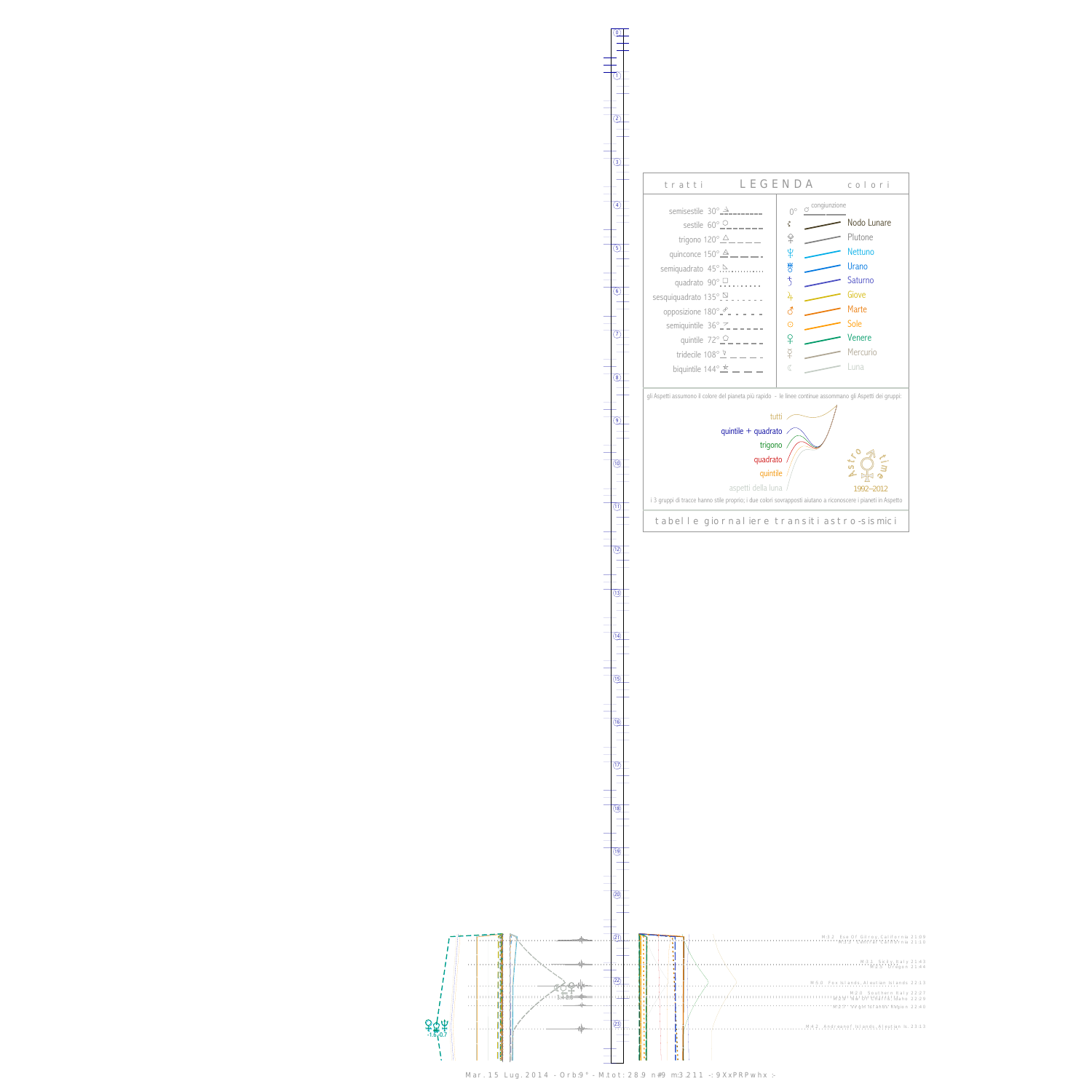

 $-340$